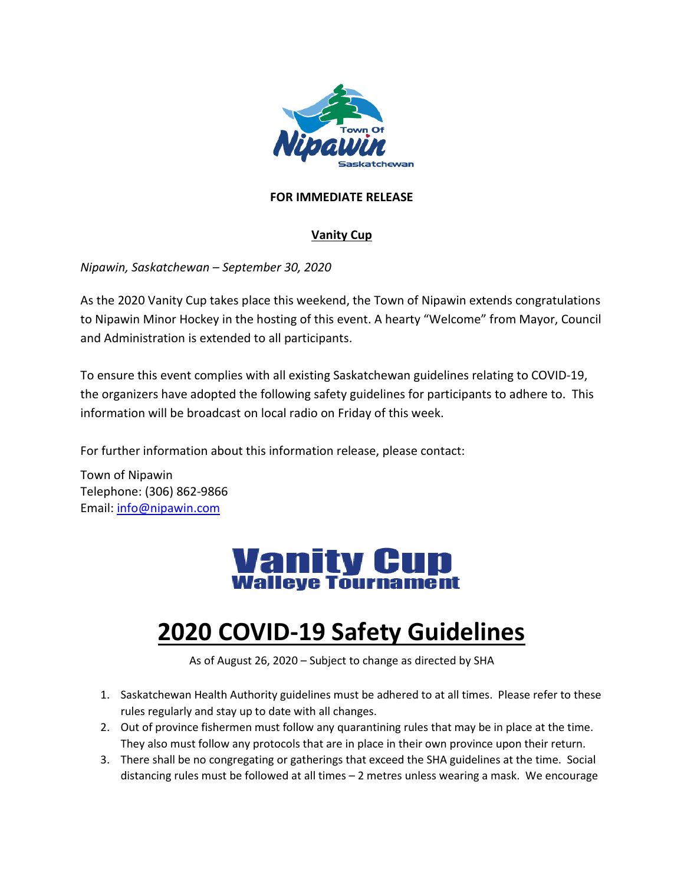

## **FOR IMMEDIATE RELEASE**

## **Vanity Cup**

*Nipawin, Saskatchewan – September 30, 2020*

As the 2020 Vanity Cup takes place this weekend, the Town of Nipawin extends congratulations to Nipawin Minor Hockey in the hosting of this event. A hearty "Welcome" from Mayor, Council and Administration is extended to all participants.

To ensure this event complies with all existing Saskatchewan guidelines relating to COVID-19, the organizers have adopted the following safety guidelines for participants to adhere to. This information will be broadcast on local radio on Friday of this week.

For further information about this information release, please contact:

Town of Nipawin Telephone: (306) 862-9866 Email: [info@nipawin.com](mailto:info@nipawin.com)

## **Vanity Cup Walleve Tournament**

## **2020 COVID-19 Safety Guidelines**

As of August 26, 2020 – Subject to change as directed by SHA

- 1. Saskatchewan Health Authority guidelines must be adhered to at all times. Please refer to these rules regularly and stay up to date with all changes.
- 2. Out of province fishermen must follow any quarantining rules that may be in place at the time. They also must follow any protocols that are in place in their own province upon their return.
- 3. There shall be no congregating or gatherings that exceed the SHA guidelines at the time. Social distancing rules must be followed at all times – 2 metres unless wearing a mask. We encourage